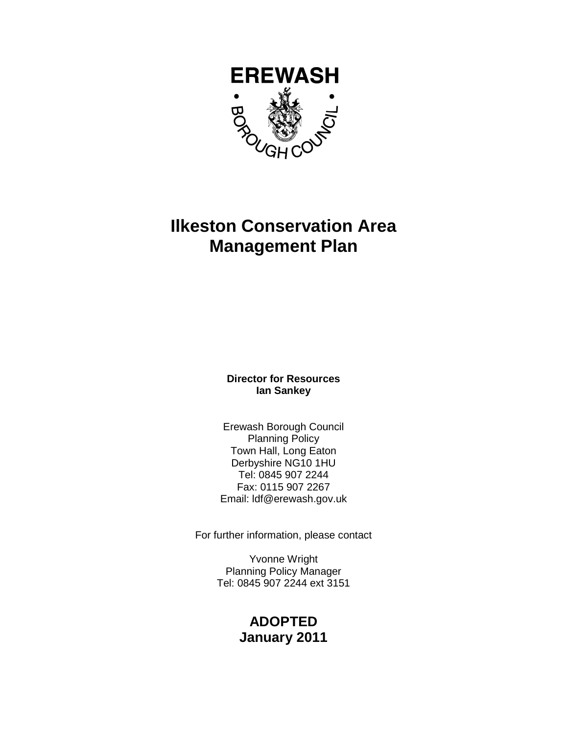

# **Ilkeston Conservation Area Management Plan**

**Director for Resources Ian Sankey** 

Erewash Borough Council Planning Policy Town Hall, Long Eaton Derbyshire NG10 1HU Tel: 0845 907 2244 Fax: 0115 907 2267 Email: ldf@erewash.gov.uk

For further information, please contact

Yvonne Wright Planning Policy Manager Tel: 0845 907 2244 ext 3151

## **ADOPTED January 2011**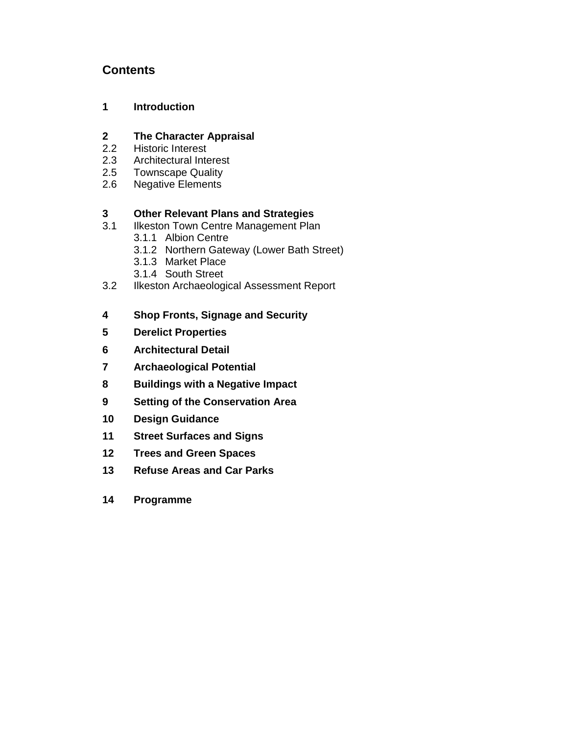## **Contents**

## **1 Introduction**

## **2 The Character Appraisal**

- 2.2 Historic Interest
- 2.3 Architectural Interest
- 2.5 Townscape Quality
- 2.6 Negative Elements

## **3 Other Relevant Plans and Strategies**

- 3.1 Ilkeston Town Centre Management Plan
	- 3.1.1 Albion Centre
	- 3.1.2 Northern Gateway (Lower Bath Street)
	- 3.1.3 Market Place
	- 3.1.4 South Street
- 3.2 Ilkeston Archaeological Assessment Report
- **4 Shop Fronts, Signage and Security**
- **5 Derelict Properties**
- **6 Architectural Detail**
- **7 Archaeological Potential**
- **8 Buildings with a Negative Impact**
- **9 Setting of the Conservation Area**
- **10 Design Guidance**
- **11 Street Surfaces and Signs**
- **12 Trees and Green Spaces**
- **13 Refuse Areas and Car Parks**
- **14 Programme**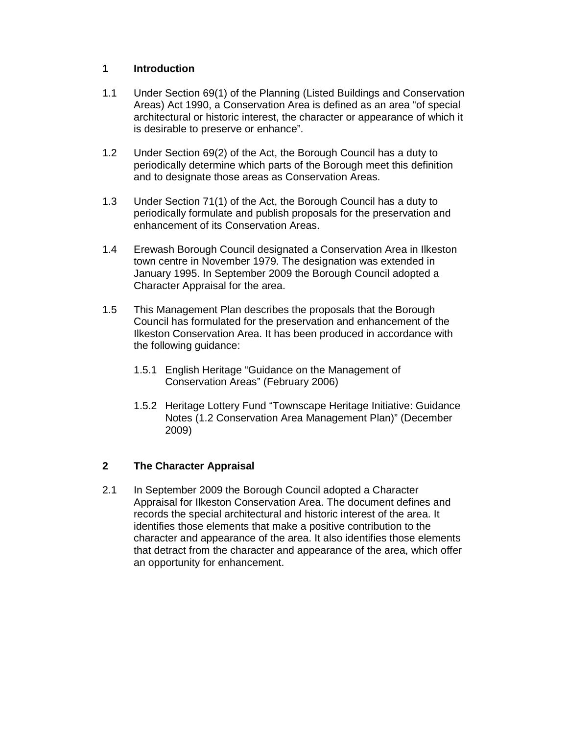#### **1 Introduction**

- 1.1 Under Section 69(1) of the Planning (Listed Buildings and Conservation Areas) Act 1990, a Conservation Area is defined as an area "of special architectural or historic interest, the character or appearance of which it is desirable to preserve or enhance".
- 1.2 Under Section 69(2) of the Act, the Borough Council has a duty to periodically determine which parts of the Borough meet this definition and to designate those areas as Conservation Areas.
- 1.3 Under Section 71(1) of the Act, the Borough Council has a duty to periodically formulate and publish proposals for the preservation and enhancement of its Conservation Areas.
- 1.4 Erewash Borough Council designated a Conservation Area in Ilkeston town centre in November 1979. The designation was extended in January 1995. In September 2009 the Borough Council adopted a Character Appraisal for the area.
- 1.5 This Management Plan describes the proposals that the Borough Council has formulated for the preservation and enhancement of the Ilkeston Conservation Area. It has been produced in accordance with the following guidance:
	- 1.5.1 English Heritage "Guidance on the Management of Conservation Areas" (February 2006)
	- 1.5.2 Heritage Lottery Fund "Townscape Heritage Initiative: Guidance Notes (1.2 Conservation Area Management Plan)" (December 2009)

## **2 The Character Appraisal**

2.1 In September 2009 the Borough Council adopted a Character Appraisal for Ilkeston Conservation Area. The document defines and records the special architectural and historic interest of the area. It identifies those elements that make a positive contribution to the character and appearance of the area. It also identifies those elements that detract from the character and appearance of the area, which offer an opportunity for enhancement.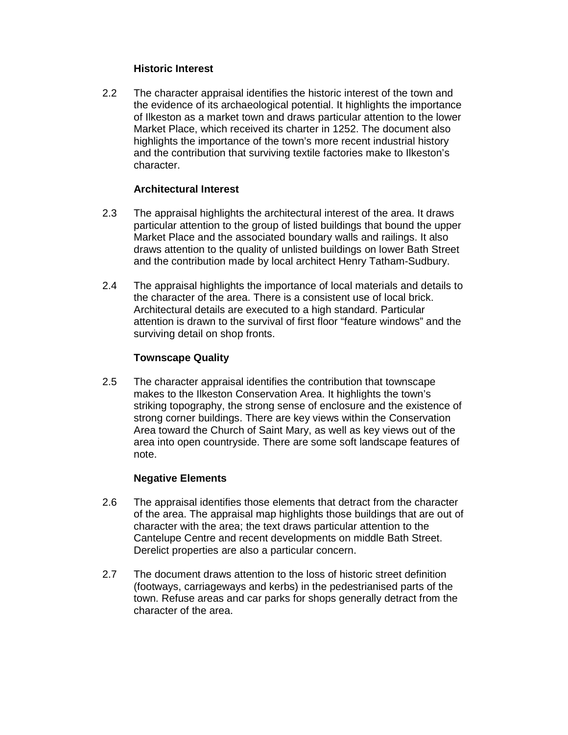#### **Historic Interest**

2.2 The character appraisal identifies the historic interest of the town and the evidence of its archaeological potential. It highlights the importance of Ilkeston as a market town and draws particular attention to the lower Market Place, which received its charter in 1252. The document also highlights the importance of the town's more recent industrial history and the contribution that surviving textile factories make to Ilkeston's character.

#### **Architectural Interest**

- 2.3 The appraisal highlights the architectural interest of the area. It draws particular attention to the group of listed buildings that bound the upper Market Place and the associated boundary walls and railings. It also draws attention to the quality of unlisted buildings on lower Bath Street and the contribution made by local architect Henry Tatham-Sudbury.
- 2.4 The appraisal highlights the importance of local materials and details to the character of the area. There is a consistent use of local brick. Architectural details are executed to a high standard. Particular attention is drawn to the survival of first floor "feature windows" and the surviving detail on shop fronts.

#### **Townscape Quality**

2.5 The character appraisal identifies the contribution that townscape makes to the Ilkeston Conservation Area. It highlights the town's striking topography, the strong sense of enclosure and the existence of strong corner buildings. There are key views within the Conservation Area toward the Church of Saint Mary, as well as key views out of the area into open countryside. There are some soft landscape features of note.

#### **Negative Elements**

- 2.6 The appraisal identifies those elements that detract from the character of the area. The appraisal map highlights those buildings that are out of character with the area; the text draws particular attention to the Cantelupe Centre and recent developments on middle Bath Street. Derelict properties are also a particular concern.
- 2.7 The document draws attention to the loss of historic street definition (footways, carriageways and kerbs) in the pedestrianised parts of the town. Refuse areas and car parks for shops generally detract from the character of the area.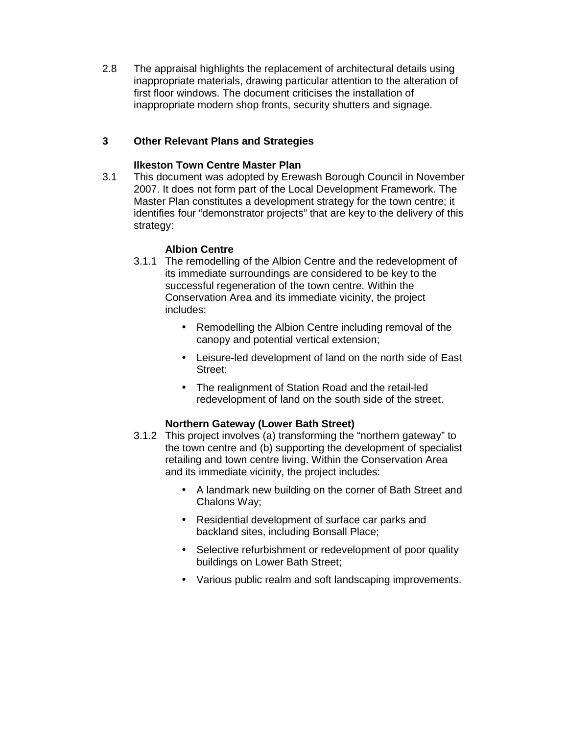2.8 The appraisal highlights the replacement of architectural details using inappropriate materials, drawing particular attention to the alteration of first floor windows. The document criticises the installation of inappropriate modern shop fronts, security shutters and signage.

## **3 Other Relevant Plans and Strategies**

## **Ilkeston Town Centre Master Plan**

3.1 This document was adopted by Erewash Borough Council in November 2007. It does not form part of the Local Development Framework. The Master Plan constitutes a development strategy for the town centre; it identifies four "demonstrator projects" that are key to the delivery of this strategy:

#### **Albion Centre**

- 3.1.1 The remodelling of the Albion Centre and the redevelopment of its immediate surroundings are considered to be key to the successful regeneration of the town centre. Within the Conservation Area and its immediate vicinity, the project includes:
	- Remodelling the Albion Centre including removal of the canopy and potential vertical extension;
	- Leisure-led development of land on the north side of East Street;
	- The realignment of Station Road and the retail-led redevelopment of land on the south side of the street.

## **Northern Gateway (Lower Bath Street)**

- 3.1.2 This project involves (a) transforming the "northern gateway" to the town centre and (b) supporting the development of specialist retailing and town centre living. Within the Conservation Area and its immediate vicinity, the project includes:
	- A landmark new building on the corner of Bath Street and Chalons Way;
	- Residential development of surface car parks and backland sites, including Bonsall Place;
	- Selective refurbishment or redevelopment of poor quality buildings on Lower Bath Street;
	- Various public realm and soft landscaping improvements.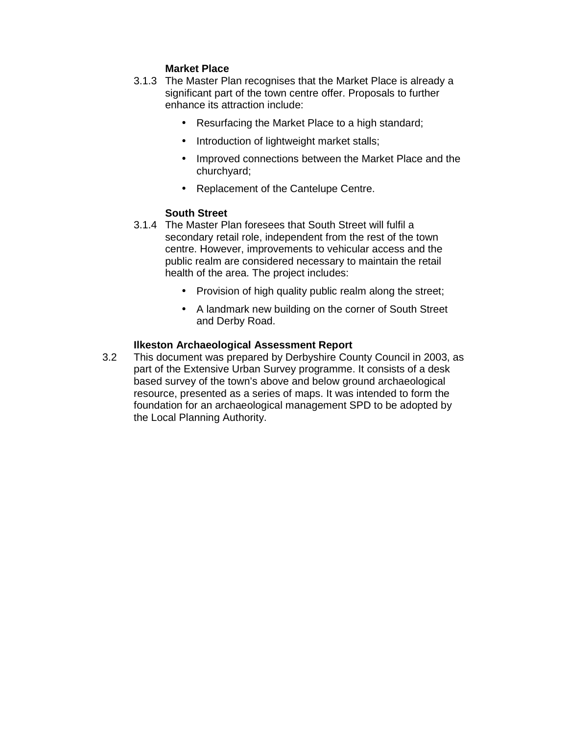## **Market Place**

- 3.1.3 The Master Plan recognises that the Market Place is already a significant part of the town centre offer. Proposals to further enhance its attraction include:
	- Resurfacing the Market Place to a high standard;
	- Introduction of lightweight market stalls;
	- Improved connections between the Market Place and the churchyard;
	- Replacement of the Cantelupe Centre.

#### **South Street**

- 3.1.4 The Master Plan foresees that South Street will fulfil a secondary retail role, independent from the rest of the town centre. However, improvements to vehicular access and the public realm are considered necessary to maintain the retail health of the area. The project includes:
	- Provision of high quality public realm along the street;
	- A landmark new building on the corner of South Street and Derby Road.

#### **Ilkeston Archaeological Assessment Report**

3.2 This document was prepared by Derbyshire County Council in 2003, as part of the Extensive Urban Survey programme. It consists of a desk based survey of the town's above and below ground archaeological resource, presented as a series of maps. It was intended to form the foundation for an archaeological management SPD to be adopted by the Local Planning Authority.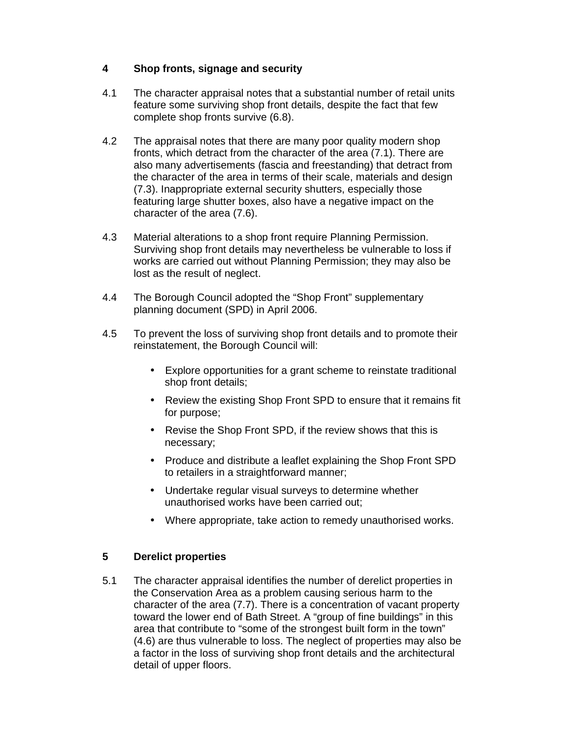## **4 Shop fronts, signage and security**

- 4.1 The character appraisal notes that a substantial number of retail units feature some surviving shop front details, despite the fact that few complete shop fronts survive (6.8).
- 4.2 The appraisal notes that there are many poor quality modern shop fronts, which detract from the character of the area (7.1). There are also many advertisements (fascia and freestanding) that detract from the character of the area in terms of their scale, materials and design (7.3). Inappropriate external security shutters, especially those featuring large shutter boxes, also have a negative impact on the character of the area (7.6).
- 4.3 Material alterations to a shop front require Planning Permission. Surviving shop front details may nevertheless be vulnerable to loss if works are carried out without Planning Permission; they may also be lost as the result of neglect.
- 4.4 The Borough Council adopted the "Shop Front" supplementary planning document (SPD) in April 2006.
- 4.5 To prevent the loss of surviving shop front details and to promote their reinstatement, the Borough Council will:
	- Explore opportunities for a grant scheme to reinstate traditional shop front details;
	- Review the existing Shop Front SPD to ensure that it remains fit for purpose;
	- Revise the Shop Front SPD, if the review shows that this is necessary;
	- Produce and distribute a leaflet explaining the Shop Front SPD to retailers in a straightforward manner;
	- Undertake regular visual surveys to determine whether unauthorised works have been carried out;
	- Where appropriate, take action to remedy unauthorised works.

## **5 Derelict properties**

5.1 The character appraisal identifies the number of derelict properties in the Conservation Area as a problem causing serious harm to the character of the area (7.7). There is a concentration of vacant property toward the lower end of Bath Street. A "group of fine buildings" in this area that contribute to "some of the strongest built form in the town" (4.6) are thus vulnerable to loss. The neglect of properties may also be a factor in the loss of surviving shop front details and the architectural detail of upper floors.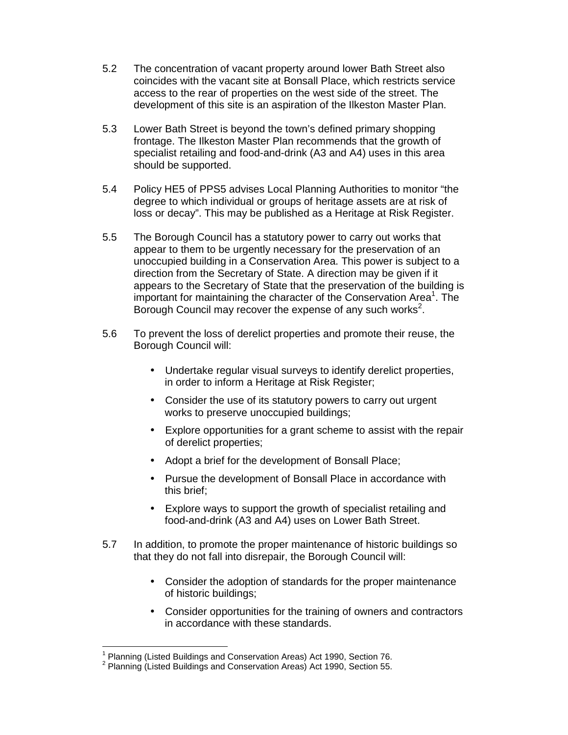- 5.2 The concentration of vacant property around lower Bath Street also coincides with the vacant site at Bonsall Place, which restricts service access to the rear of properties on the west side of the street. The development of this site is an aspiration of the Ilkeston Master Plan.
- 5.3 Lower Bath Street is beyond the town's defined primary shopping frontage. The Ilkeston Master Plan recommends that the growth of specialist retailing and food-and-drink (A3 and A4) uses in this area should be supported.
- 5.4 Policy HE5 of PPS5 advises Local Planning Authorities to monitor "the degree to which individual or groups of heritage assets are at risk of loss or decay". This may be published as a Heritage at Risk Register.
- 5.5 The Borough Council has a statutory power to carry out works that appear to them to be urgently necessary for the preservation of an unoccupied building in a Conservation Area. This power is subject to a direction from the Secretary of State. A direction may be given if it appears to the Secretary of State that the preservation of the building is important for maintaining the character of the Conservation Area<sup>1</sup>. The Borough Council may recover the expense of any such works<sup>2</sup>.
- 5.6 To prevent the loss of derelict properties and promote their reuse, the Borough Council will:
	- Undertake regular visual surveys to identify derelict properties, in order to inform a Heritage at Risk Register;
	- Consider the use of its statutory powers to carry out urgent works to preserve unoccupied buildings;
	- Explore opportunities for a grant scheme to assist with the repair of derelict properties;
	- Adopt a brief for the development of Bonsall Place;
	- Pursue the development of Bonsall Place in accordance with this brief;
	- Explore ways to support the growth of specialist retailing and food-and-drink (A3 and A4) uses on Lower Bath Street.
- 5.7 In addition, to promote the proper maintenance of historic buildings so that they do not fall into disrepair, the Borough Council will:
	- Consider the adoption of standards for the proper maintenance of historic buildings;
	- Consider opportunities for the training of owners and contractors in accordance with these standards.

 $\overline{a}$ 

<sup>1</sup> Planning (Listed Buildings and Conservation Areas) Act 1990, Section 76.

 $2$  Planning (Listed Buildings and Conservation Areas) Act 1990, Section 55.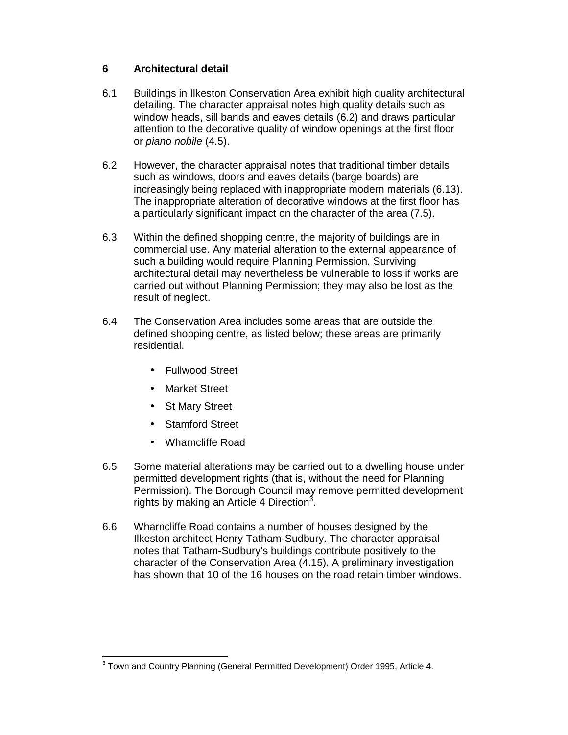## **6 Architectural detail**

- 6.1 Buildings in Ilkeston Conservation Area exhibit high quality architectural detailing. The character appraisal notes high quality details such as window heads, sill bands and eaves details (6.2) and draws particular attention to the decorative quality of window openings at the first floor or piano nobile (4.5).
- 6.2 However, the character appraisal notes that traditional timber details such as windows, doors and eaves details (barge boards) are increasingly being replaced with inappropriate modern materials (6.13). The inappropriate alteration of decorative windows at the first floor has a particularly significant impact on the character of the area (7.5).
- 6.3 Within the defined shopping centre, the majority of buildings are in commercial use. Any material alteration to the external appearance of such a building would require Planning Permission. Surviving architectural detail may nevertheless be vulnerable to loss if works are carried out without Planning Permission; they may also be lost as the result of neglect.
- 6.4 The Conservation Area includes some areas that are outside the defined shopping centre, as listed below; these areas are primarily residential.
	- Fullwood Street
	- Market Street
	- St Mary Street
	- Stamford Street
	- Wharncliffe Road
- 6.5 Some material alterations may be carried out to a dwelling house under permitted development rights (that is, without the need for Planning Permission). The Borough Council may remove permitted development rights by making an Article 4 Direction<sup>3</sup>.
- 6.6 Wharncliffe Road contains a number of houses designed by the Ilkeston architect Henry Tatham-Sudbury. The character appraisal notes that Tatham-Sudbury's buildings contribute positively to the character of the Conservation Area (4.15). A preliminary investigation has shown that 10 of the 16 houses on the road retain timber windows.

 $\overline{a}$  $3$  Town and Country Planning (General Permitted Development) Order 1995, Article 4.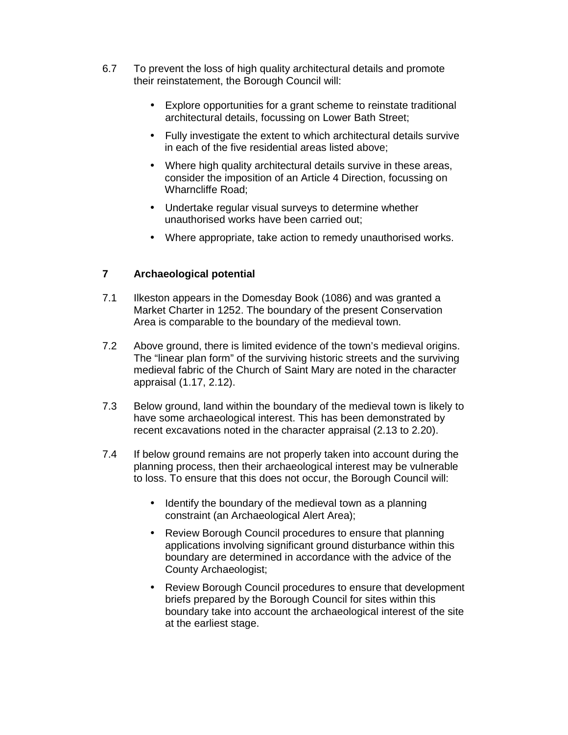- 6.7 To prevent the loss of high quality architectural details and promote their reinstatement, the Borough Council will:
	- Explore opportunities for a grant scheme to reinstate traditional architectural details, focussing on Lower Bath Street;
	- Fully investigate the extent to which architectural details survive in each of the five residential areas listed above;
	- Where high quality architectural details survive in these areas, consider the imposition of an Article 4 Direction, focussing on Wharncliffe Road;
	- Undertake regular visual surveys to determine whether unauthorised works have been carried out;
	- Where appropriate, take action to remedy unauthorised works.

## **7 Archaeological potential**

- 7.1 Ilkeston appears in the Domesday Book (1086) and was granted a Market Charter in 1252. The boundary of the present Conservation Area is comparable to the boundary of the medieval town.
- 7.2 Above ground, there is limited evidence of the town's medieval origins. The "linear plan form" of the surviving historic streets and the surviving medieval fabric of the Church of Saint Mary are noted in the character appraisal (1.17, 2.12).
- 7.3 Below ground, land within the boundary of the medieval town is likely to have some archaeological interest. This has been demonstrated by recent excavations noted in the character appraisal (2.13 to 2.20).
- 7.4 If below ground remains are not properly taken into account during the planning process, then their archaeological interest may be vulnerable to loss. To ensure that this does not occur, the Borough Council will:
	- Identify the boundary of the medieval town as a planning constraint (an Archaeological Alert Area);
	- Review Borough Council procedures to ensure that planning applications involving significant ground disturbance within this boundary are determined in accordance with the advice of the County Archaeologist;
	- Review Borough Council procedures to ensure that development briefs prepared by the Borough Council for sites within this boundary take into account the archaeological interest of the site at the earliest stage.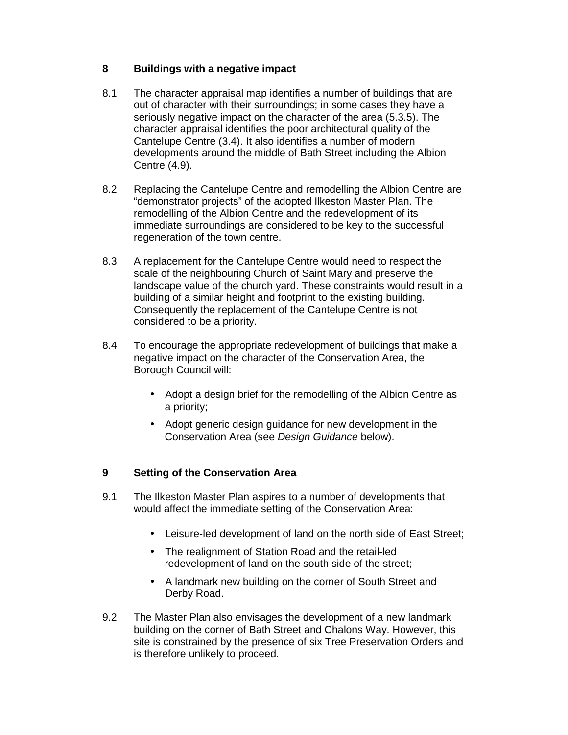## **8 Buildings with a negative impact**

- 8.1 The character appraisal map identifies a number of buildings that are out of character with their surroundings; in some cases they have a seriously negative impact on the character of the area (5.3.5). The character appraisal identifies the poor architectural quality of the Cantelupe Centre (3.4). It also identifies a number of modern developments around the middle of Bath Street including the Albion Centre (4.9).
- 8.2 Replacing the Cantelupe Centre and remodelling the Albion Centre are "demonstrator projects" of the adopted Ilkeston Master Plan. The remodelling of the Albion Centre and the redevelopment of its immediate surroundings are considered to be key to the successful regeneration of the town centre.
- 8.3 A replacement for the Cantelupe Centre would need to respect the scale of the neighbouring Church of Saint Mary and preserve the landscape value of the church yard. These constraints would result in a building of a similar height and footprint to the existing building. Consequently the replacement of the Cantelupe Centre is not considered to be a priority.
- 8.4 To encourage the appropriate redevelopment of buildings that make a negative impact on the character of the Conservation Area, the Borough Council will:
	- Adopt a design brief for the remodelling of the Albion Centre as a priority;
	- Adopt generic design guidance for new development in the Conservation Area (see Design Guidance below).

## **9 Setting of the Conservation Area**

- 9.1 The Ilkeston Master Plan aspires to a number of developments that would affect the immediate setting of the Conservation Area:
	- Leisure-led development of land on the north side of East Street;
	- The realignment of Station Road and the retail-led redevelopment of land on the south side of the street;
	- A landmark new building on the corner of South Street and Derby Road.
- 9.2 The Master Plan also envisages the development of a new landmark building on the corner of Bath Street and Chalons Way. However, this site is constrained by the presence of six Tree Preservation Orders and is therefore unlikely to proceed.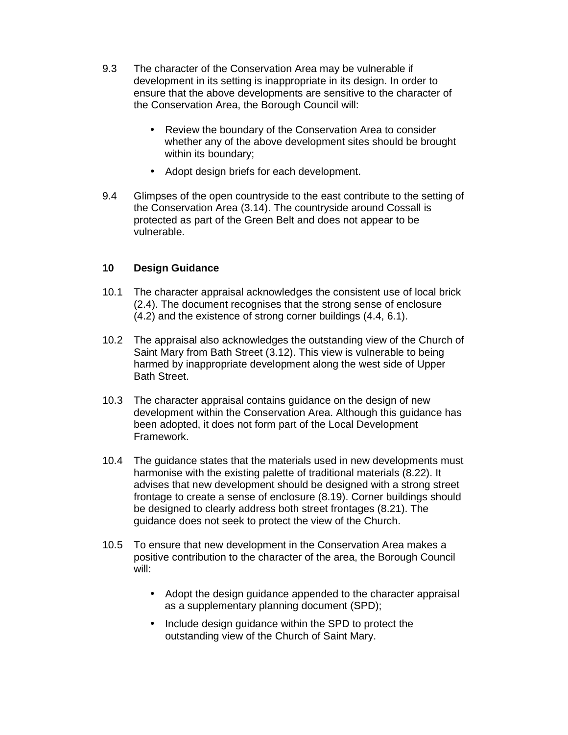- 9.3 The character of the Conservation Area may be vulnerable if development in its setting is inappropriate in its design. In order to ensure that the above developments are sensitive to the character of the Conservation Area, the Borough Council will:
	- Review the boundary of the Conservation Area to consider whether any of the above development sites should be brought within its boundary;
	- Adopt design briefs for each development.
- 9.4 Glimpses of the open countryside to the east contribute to the setting of the Conservation Area (3.14). The countryside around Cossall is protected as part of the Green Belt and does not appear to be vulnerable.

## **10 Design Guidance**

- 10.1 The character appraisal acknowledges the consistent use of local brick (2.4). The document recognises that the strong sense of enclosure (4.2) and the existence of strong corner buildings (4.4, 6.1).
- 10.2 The appraisal also acknowledges the outstanding view of the Church of Saint Mary from Bath Street (3.12). This view is vulnerable to being harmed by inappropriate development along the west side of Upper Bath Street.
- 10.3 The character appraisal contains guidance on the design of new development within the Conservation Area. Although this guidance has been adopted, it does not form part of the Local Development Framework.
- 10.4 The guidance states that the materials used in new developments must harmonise with the existing palette of traditional materials (8.22). It advises that new development should be designed with a strong street frontage to create a sense of enclosure (8.19). Corner buildings should be designed to clearly address both street frontages (8.21). The guidance does not seek to protect the view of the Church.
- 10.5 To ensure that new development in the Conservation Area makes a positive contribution to the character of the area, the Borough Council will:
	- Adopt the design guidance appended to the character appraisal as a supplementary planning document (SPD);
	- Include design guidance within the SPD to protect the outstanding view of the Church of Saint Mary.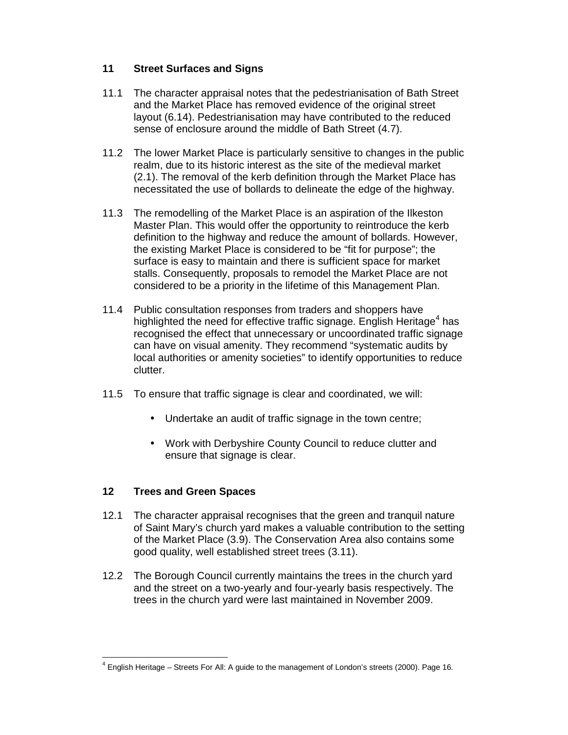## **11 Street Surfaces and Signs**

- 11.1 The character appraisal notes that the pedestrianisation of Bath Street and the Market Place has removed evidence of the original street layout (6.14). Pedestrianisation may have contributed to the reduced sense of enclosure around the middle of Bath Street (4.7).
- 11.2 The lower Market Place is particularly sensitive to changes in the public realm, due to its historic interest as the site of the medieval market (2.1). The removal of the kerb definition through the Market Place has necessitated the use of bollards to delineate the edge of the highway.
- 11.3 The remodelling of the Market Place is an aspiration of the Ilkeston Master Plan. This would offer the opportunity to reintroduce the kerb definition to the highway and reduce the amount of bollards. However, the existing Market Place is considered to be "fit for purpose"; the surface is easy to maintain and there is sufficient space for market stalls. Consequently, proposals to remodel the Market Place are not considered to be a priority in the lifetime of this Management Plan.
- 11.4 Public consultation responses from traders and shoppers have highlighted the need for effective traffic signage. English Heritage<sup>4</sup> has recognised the effect that unnecessary or uncoordinated traffic signage can have on visual amenity. They recommend "systematic audits by local authorities or amenity societies" to identify opportunities to reduce clutter.
- 11.5 To ensure that traffic signage is clear and coordinated, we will:
	- Undertake an audit of traffic signage in the town centre;
	- Work with Derbyshire County Council to reduce clutter and ensure that signage is clear.

## **12 Trees and Green Spaces**

- 12.1 The character appraisal recognises that the green and tranquil nature of Saint Mary's church yard makes a valuable contribution to the setting of the Market Place (3.9). The Conservation Area also contains some good quality, well established street trees (3.11).
- 12.2 The Borough Council currently maintains the trees in the church yard and the street on a two-yearly and four-yearly basis respectively. The trees in the church yard were last maintained in November 2009.

 $\overline{a}$ 4 English Heritage – Streets For All: A guide to the management of London's streets (2000). Page 16.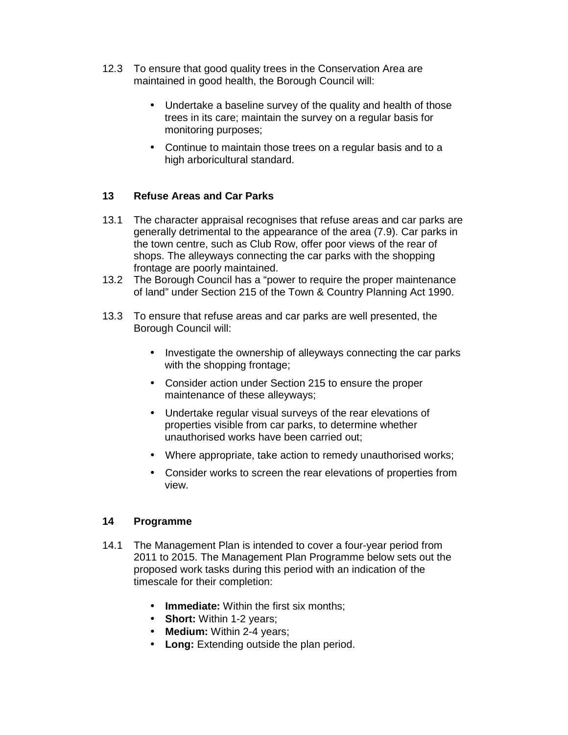- 12.3 To ensure that good quality trees in the Conservation Area are maintained in good health, the Borough Council will:
	- Undertake a baseline survey of the quality and health of those trees in its care; maintain the survey on a regular basis for monitoring purposes;
	- Continue to maintain those trees on a regular basis and to a high arboricultural standard.

#### **13 Refuse Areas and Car Parks**

- 13.1 The character appraisal recognises that refuse areas and car parks are generally detrimental to the appearance of the area (7.9). Car parks in the town centre, such as Club Row, offer poor views of the rear of shops. The alleyways connecting the car parks with the shopping frontage are poorly maintained.
- 13.2 The Borough Council has a "power to require the proper maintenance of land" under Section 215 of the Town & Country Planning Act 1990.
- 13.3 To ensure that refuse areas and car parks are well presented, the Borough Council will:
	- Investigate the ownership of alleyways connecting the car parks with the shopping frontage;
	- Consider action under Section 215 to ensure the proper maintenance of these alleyways;
	- Undertake regular visual surveys of the rear elevations of properties visible from car parks, to determine whether unauthorised works have been carried out;
	- Where appropriate, take action to remedy unauthorised works;
	- Consider works to screen the rear elevations of properties from view.

#### **14 Programme**

- 14.1 The Management Plan is intended to cover a four-year period from 2011 to 2015. The Management Plan Programme below sets out the proposed work tasks during this period with an indication of the timescale for their completion:
	- **Immediate:** Within the first six months;
	- **Short:** Within 1-2 years;
	- **Medium:** Within 2-4 years;
	- **Long:** Extending outside the plan period.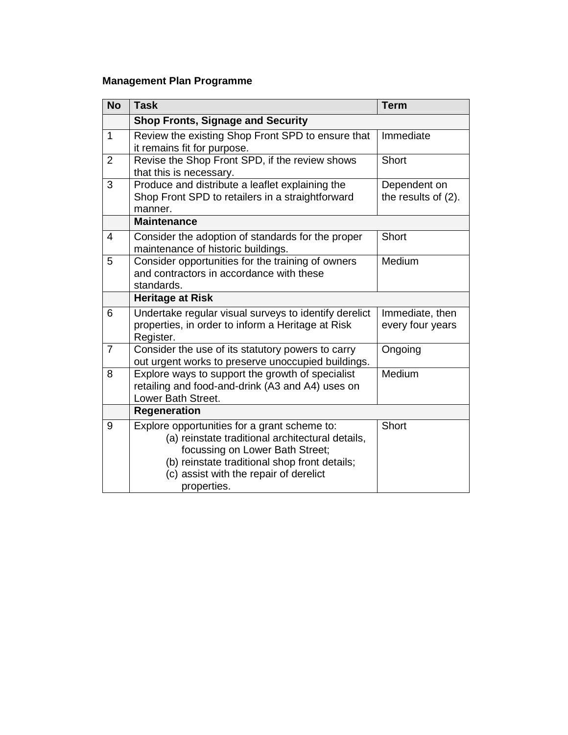## **Management Plan Programme**

| <b>No</b>      | <b>Task</b>                                                                                                                                                                                                                                   | <b>Term</b>                         |  |  |  |
|----------------|-----------------------------------------------------------------------------------------------------------------------------------------------------------------------------------------------------------------------------------------------|-------------------------------------|--|--|--|
|                | <b>Shop Fronts, Signage and Security</b>                                                                                                                                                                                                      |                                     |  |  |  |
| $\mathbf{1}$   | Review the existing Shop Front SPD to ensure that<br>it remains fit for purpose.                                                                                                                                                              | Immediate                           |  |  |  |
| $\overline{2}$ | Revise the Shop Front SPD, if the review shows<br>that this is necessary.                                                                                                                                                                     | Short                               |  |  |  |
| 3              | Produce and distribute a leaflet explaining the<br>Shop Front SPD to retailers in a straightforward<br>manner.                                                                                                                                | Dependent on<br>the results of (2). |  |  |  |
|                | <b>Maintenance</b>                                                                                                                                                                                                                            |                                     |  |  |  |
| 4              | Consider the adoption of standards for the proper<br>maintenance of historic buildings.                                                                                                                                                       | Short                               |  |  |  |
| 5              | Consider opportunities for the training of owners<br>and contractors in accordance with these<br>standards.                                                                                                                                   | Medium                              |  |  |  |
|                | <b>Heritage at Risk</b>                                                                                                                                                                                                                       |                                     |  |  |  |
| 6              | Undertake regular visual surveys to identify derelict<br>properties, in order to inform a Heritage at Risk<br>Register.                                                                                                                       | Immediate, then<br>every four years |  |  |  |
| $\overline{7}$ | Consider the use of its statutory powers to carry<br>out urgent works to preserve unoccupied buildings.                                                                                                                                       | Ongoing                             |  |  |  |
| 8              | Explore ways to support the growth of specialist<br>retailing and food-and-drink (A3 and A4) uses on<br>Lower Bath Street.                                                                                                                    | Medium                              |  |  |  |
|                | <b>Regeneration</b>                                                                                                                                                                                                                           |                                     |  |  |  |
| 9              | Explore opportunities for a grant scheme to:<br>(a) reinstate traditional architectural details,<br>focussing on Lower Bath Street;<br>(b) reinstate traditional shop front details;<br>(c) assist with the repair of derelict<br>properties. | Short                               |  |  |  |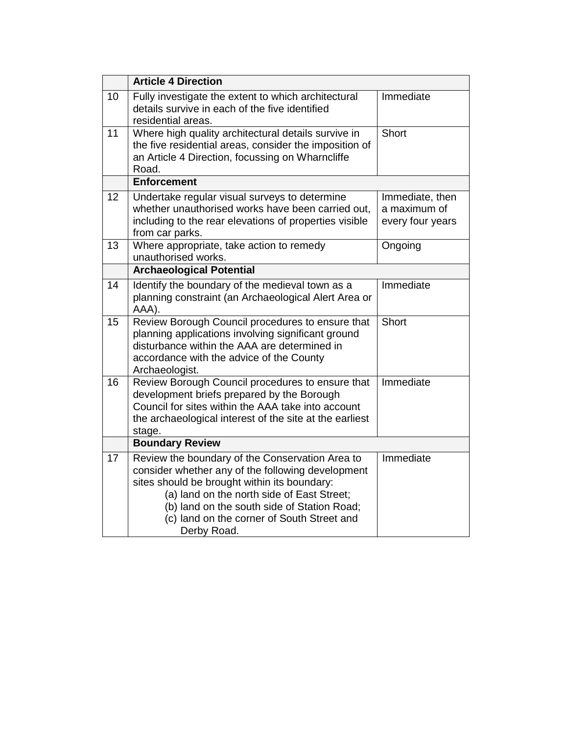|    | <b>Article 4 Direction</b>                                                                                                                                                                                                                                                                                     |                                                     |  |  |  |
|----|----------------------------------------------------------------------------------------------------------------------------------------------------------------------------------------------------------------------------------------------------------------------------------------------------------------|-----------------------------------------------------|--|--|--|
| 10 | Fully investigate the extent to which architectural<br>details survive in each of the five identified<br>residential areas.                                                                                                                                                                                    | Immediate                                           |  |  |  |
| 11 | Where high quality architectural details survive in<br>the five residential areas, consider the imposition of<br>an Article 4 Direction, focussing on Wharncliffe<br>Road.                                                                                                                                     | Short                                               |  |  |  |
|    | <b>Enforcement</b>                                                                                                                                                                                                                                                                                             |                                                     |  |  |  |
| 12 | Undertake regular visual surveys to determine<br>whether unauthorised works have been carried out,<br>including to the rear elevations of properties visible<br>from car parks.                                                                                                                                | Immediate, then<br>a maximum of<br>every four years |  |  |  |
| 13 | Where appropriate, take action to remedy<br>unauthorised works.                                                                                                                                                                                                                                                | Ongoing                                             |  |  |  |
|    | <b>Archaeological Potential</b>                                                                                                                                                                                                                                                                                |                                                     |  |  |  |
| 14 | Identify the boundary of the medieval town as a<br>planning constraint (an Archaeological Alert Area or<br>AAA).                                                                                                                                                                                               | Immediate                                           |  |  |  |
| 15 | Review Borough Council procedures to ensure that<br>planning applications involving significant ground<br>disturbance within the AAA are determined in<br>accordance with the advice of the County<br>Archaeologist.                                                                                           | Short                                               |  |  |  |
| 16 | Review Borough Council procedures to ensure that<br>development briefs prepared by the Borough<br>Council for sites within the AAA take into account<br>the archaeological interest of the site at the earliest<br>stage.                                                                                      | Immediate                                           |  |  |  |
|    | <b>Boundary Review</b>                                                                                                                                                                                                                                                                                         |                                                     |  |  |  |
| 17 | Review the boundary of the Conservation Area to<br>consider whether any of the following development<br>sites should be brought within its boundary:<br>(a) land on the north side of East Street;<br>(b) land on the south side of Station Road;<br>(c) land on the corner of South Street and<br>Derby Road. | Immediate                                           |  |  |  |